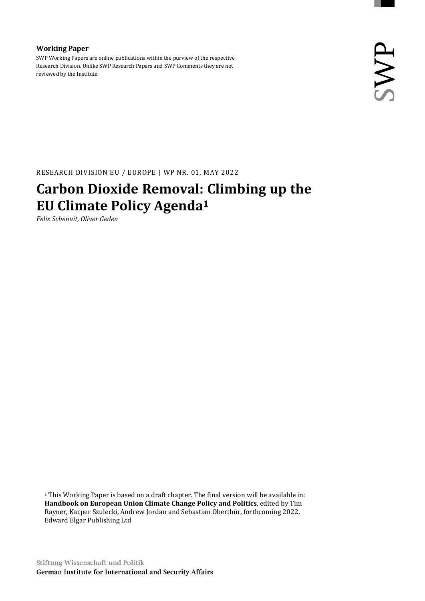#### **Working Paper**

SWP Working Papers are online publications within the purview of the respective Research Division. Unlike SWP Research Papers and SWP Comments they are not reviewed by the Institute.

RESEARCH DIVISION EU / EUROPE | WP NR. 01, MAY 2022

# **Carbon Dioxide Removal: Climbing up the EU Climate Policy Agenda<sup>1</sup>**

*Felix Schenuit, Oliver Geden*

<sup>1</sup> This Working Paper is based on a draft chapter. The final version will be available in: **Handbook on European Union Climate Change Policy and Politics**, edited by Tim Rayner, Kacper Szulecki, Andrew Jordan and Sebastian Oberthür, forthcoming 2022, Edward Elgar Publishing Ltd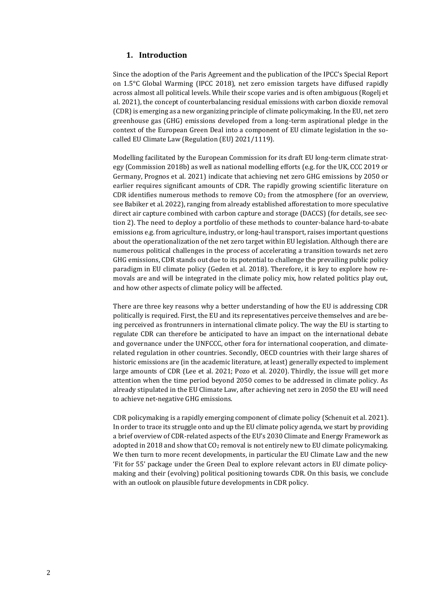### **1. Introduction**

Since the adoption of the Paris Agreement and the publication of the IPCC's Special Report on 1.5°C Global Warming (IPCC 2018), net zero emission targets have diffused rapidly across almost all political levels. While their scope varies and is often ambiguous (Rogelj et al. 2021), the concept of counterbalancing residual emissions with carbon dioxide removal (CDR) is emerging as a new organizing principle of climate policymaking. In the EU, net zero greenhouse gas (GHG) emissions developed from a long-term aspirational pledge in the context of the European Green Deal into a component of EU climate legislation in the socalled EU Climate Law (Regulation (EU) 2021/1119).

Modelling facilitated by the European Commission for its draft EU long-term climate strategy (Commission 2018b) as well as national modelling efforts (e.g. for the UK, CCC 2019 or Germany, Prognos et al. 2021) indicate that achieving net zero GHG emissions by 2050 or earlier requires significant amounts of CDR. The rapidly growing scientific literature on CDR identifies numerous methods to remove  $CO<sub>2</sub>$  from the atmosphere (for an overview, see Babiker et al. 2022), ranging from already established afforestation to more speculative direct air capture combined with carbon capture and storage (DACCS) (for details, see section 2). The need to deploy a portfolio of these methods to counter-balance hard-to-abate emissions e.g. from agriculture, industry, or long-haul transport, raises important questions about the operationalization of the net zero target within EU legislation. Although there are numerous political challenges in the process of accelerating a transition towards net zero GHG emissions, CDR stands out due to its potential to challenge the prevailing public policy paradigm in EU climate policy (Geden et al. 2018). Therefore, it is key to explore how removals are and will be integrated in the climate policy mix, how related politics play out, and how other aspects of climate policy will be affected.

There are three key reasons why a better understanding of how the EU is addressing CDR politically is required. First, the EU and its representatives perceive themselves and are being perceived as frontrunners in international climate policy. The way the EU is starting to regulate CDR can therefore be anticipated to have an impact on the international debate and governance under the UNFCCC, other fora for international cooperation, and climaterelated regulation in other countries. Secondly, OECD countries with their large shares of historic emissions are (in the academic literature, at least) generally expected to implement large amounts of CDR (Lee et al. 2021; Pozo et al. 2020). Thirdly, the issue will get more attention when the time period beyond 2050 comes to be addressed in climate policy. As already stipulated in the EU Climate Law, after achieving net zero in 2050 the EU will need to achieve net-negative GHG emissions.

CDR policymaking is a rapidly emerging component of climate policy (Schenuit et al. 2021). In order to trace its struggle onto and up the EU climate policy agenda, we start by providing a brief overview of CDR-related aspects of the EU's 2030 Climate and Energy Framework as adopted in 2018 and show that CO<sup>2</sup> removal is not entirely new to EU climate policymaking. We then turn to more recent developments, in particular the EU Climate Law and the new 'Fit for 55' package under the Green Deal to explore relevant actors in EU climate policymaking and their (evolving) political positioning towards CDR. On this basis, we conclude with an outlook on plausible future developments in CDR policy.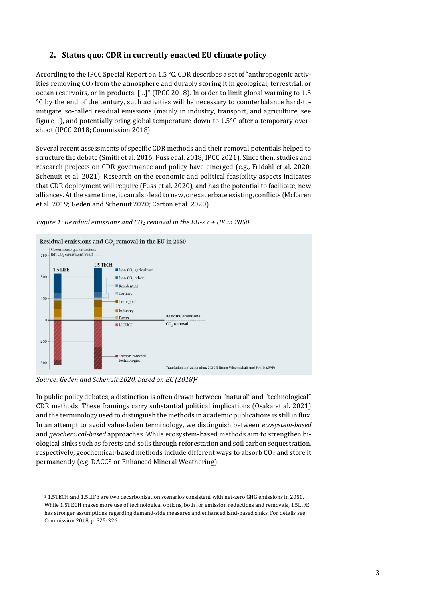# **2. Status quo: CDR in currently enacted EU climate policy**

According to the IPCC Special Report on 1.5 °C, CDR describes a set of "anthropogenic activities removing  $CO<sub>2</sub>$  from the atmosphere and durably storing it in geological, terrestrial, or ocean reservoirs, or in products. […]" (IPCC 2018). In order to limit global warming to 1.5 °C by the end of the century, such activities will be necessary to counterbalance hard-tomitigate, so-called residual emissions (mainly in industry, transport, and agriculture, see figure 1), and potentially bring global temperature down to 1.5°C after a temporary overshoot (IPCC 2018; Commission 2018).

Several recent assessments of specific CDR methods and their removal potentials helped to structure the debate (Smith et al. 2016; Fuss et al. 2018; IPCC 2021). Since then, studies and research projects on CDR governance and policy have emerged (e.g., Fridahl et al. 2020; Schenuit et al. 2021). Research on the economic and political feasibility aspects indicates that CDR deployment will require (Fuss et al. 2020), and has the potential to facilitate, new alliances. At the same time, it can also lead to new, or exacerbate existing, conflicts (McLaren et al. 2019; Geden and Schenuit 2020; Carton et al. 2020).





*Source: Geden and Schenuit 2020, based on EC (2018)<sup>2</sup>*

In public policy debates, a distinction is often drawn between "natural" and "technological" CDR methods. These framings carry substantial political implications (Osaka et al. 2021) and the terminology used to distinguish the methods in academic publications is still in flux. In an attempt to avoid value-laden terminology, we distinguish between *ecosystem-based* and *geochemical-based* approaches. While ecosystem-based methods aim to strengthen biological sinks such as forests and soils through reforestation and soil carbon sequestration, respectively, geochemical-based methods include different ways to absorb  $CO<sub>2</sub>$  and store it permanently (e.g. DACCS or Enhanced Mineral Weathering).

<sup>2</sup> 1.5TECH and 1.5LIFE are two decarbonization scenarios consistent with net-zero GHG emissions in 2050. While 1.5TECH makes more use of technological options, both for emission reductions and removals, 1.5LIFE has stronger assumptions regarding demand-side measures and enhanced land-based sinks. For details see Commission 2018, p. 325-326.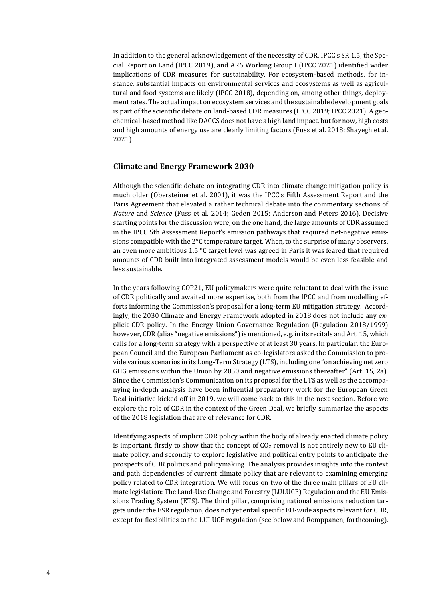In addition to the general acknowledgement of the necessity of CDR, IPCC's SR 1.5, the Special Report on Land (IPCC 2019), and AR6 Working Group I (IPCC 2021) identified wider implications of CDR measures for sustainability. For ecosystem-based methods, for instance, substantial impacts on environmental services and ecosystems as well as agricultural and food systems are likely (IPCC 2018), depending on, among other things, deployment rates. The actual impact on ecosystem services and the sustainable development goals is part of the scientific debate on land-based CDR measures (IPCC 2019; IPCC 2021). A geochemical-based method like DACCS does not have a high land impact, but for now, high costs and high amounts of energy use are clearly limiting factors (Fuss et al. 2018; Shayegh et al. 2021).

#### **Climate and Energy Framework 2030**

Although the scientific debate on integrating CDR into climate change mitigation policy is much older (Obersteiner et al. 2001), it was the IPCC's Fifth Assessment Report and the Paris Agreement that elevated a rather technical debate into the commentary sections of *Nature* and *Science* (Fuss et al. 2014; Geden 2015; Anderson and Peters 2016). Decisive starting points for the discussion were, on the one hand, the large amounts of CDR assumed in the IPCC 5th Assessment Report's emission pathways that required net-negative emissions compatible with the 2°C temperature target. When, to the surprise of many observers, an even more ambitious 1.5 °C target level was agreed in Paris it was feared that required amounts of CDR built into integrated assessment models would be even less feasible and less sustainable.

In the years following COP21, EU policymakers were quite reluctant to deal with the issue of CDR politically and awaited more expertise, both from the IPCC and from modelling efforts informing the Commission's proposal for a long-term EU mitigation strategy. Accordingly, the 2030 Climate and Energy Framework adopted in 2018 does not include any explicit CDR policy. In the Energy Union Governance Regulation (Regulation 2018/1999) however, CDR (alias "negative emissions") is mentioned, e.g. in its recitals and Art. 15, which calls for a long-term strategy with a perspective of at least 30 years. In particular, the European Council and the European Parliament as co-legislators asked the Commission to provide various scenarios in its Long-Term Strategy (LTS), including one "on achieving net zero GHG emissions within the Union by 2050 and negative emissions thereafter" (Art. 15, 2a). Since the Commission's Communication on its proposal for the LTS as well as the accompanying in-depth analysis have been influential preparatory work for the European Green Deal initiative kicked off in 2019, we will come back to this in the next section. Before we explore the role of CDR in the context of the Green Deal, we briefly summarize the aspects of the 2018 legislation that are of relevance for CDR.

Identifying aspects of implicit CDR policy within the body of already enacted climate policy is important, firstly to show that the concept of  $CO<sub>2</sub>$  removal is not entirely new to EU climate policy, and secondly to explore legislative and political entry points to anticipate the prospects of CDR politics and policymaking. The analysis provides insights into the context and path dependencies of current climate policy that are relevant to examining emerging policy related to CDR integration. We will focus on two of the three main pillars of EU climate legislation: The Land-Use Change and Forestry (LULUCF) Regulation and the EU Emissions Trading System (ETS). The third pillar, comprising national emissions reduction targets under the ESR regulation, does not yet entail specific EU-wide aspects relevant for CDR, except for flexibilities to the LULUCF regulation (see below and Romppanen, forthcoming).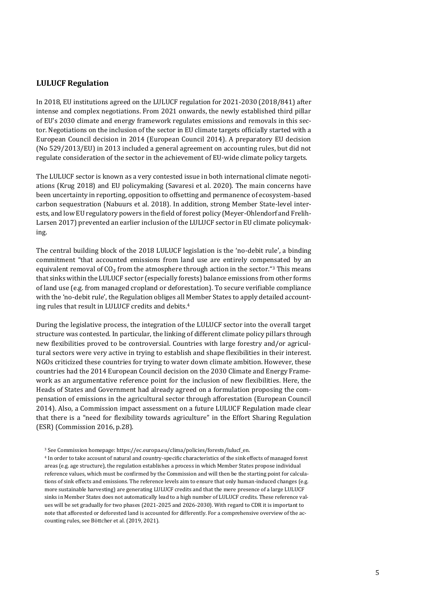#### **LULUCF Regulation**

In 2018, EU institutions agreed on the LULUCF regulation for 2021-2030 (2018/841) after intense and complex negotiations. From 2021 onwards, the newly established third pillar of EU's 2030 climate and energy framework regulates emissions and removals in this sector. Negotiations on the inclusion of the sector in EU climate targets officially started with a European Council decision in 2014 (European Council 2014). A preparatory EU decision (No 529/2013/EU) in 2013 included a general agreement on accounting rules, but did not regulate consideration of the sector in the achievement of EU-wide climate policy targets.

The LULUCF sector is known as a very contested issue in both international climate negotiations (Krug 2018) and EU policymaking (Savaresi et al. 2020). The main concerns have been uncertainty in reporting, opposition to offsetting and permanence of ecosystem-based carbon sequestration (Nabuurs et al. 2018). In addition, strong Member State-level interests, and low EU regulatory powers in the field of forest policy (Meyer-Ohlendorf and Frelih-Larsen 2017) prevented an earlier inclusion of the LULUCF sector in EU climate policymaking.

The central building block of the 2018 LULUCF legislation is the 'no-debit rule', a binding commitment "that accounted emissions from land use are entirely compensated by an equivalent removal of  $CO<sub>2</sub>$  from the atmosphere through action in the sector."<sup>3</sup> This means that sinks within the LULUCF sector (especially forests) balance emissions from other forms of land use (e.g. from managed cropland or deforestation). To secure verifiable compliance with the 'no-debit rule', the Regulation obliges all Member States to apply detailed accounting rules that result in LULUCF credits and debits.<sup>4</sup>

During the legislative process, the integration of the LULUCF sector into the overall target structure was contested. In particular, the linking of different climate policy pillars through new flexibilities proved to be controversial. Countries with large forestry and/or agricultural sectors were very active in trying to establish and shape flexibilities in their interest. NGOs criticized these countries for trying to water down climate ambition. However, these countries had the 2014 European Council decision on the 2030 Climate and Energy Framework as an argumentative reference point for the inclusion of new flexibilities. Here, the Heads of States and Government had already agreed on a formulation proposing the compensation of emissions in the agricultural sector through afforestation (European Council 2014). Also, a Commission impact assessment on a future LULUCF Regulation made clear that there is a "need for flexibility towards agriculture" in the Effort Sharing Regulation (ESR) (Commission 2016, p.28).

<sup>3</sup> See Commission homepage[: https://ec.europa.eu/clima/policies/forests/lulucf\\_en.](https://ec.europa.eu/clima/policies/forests/lulucf_en) 

<sup>4</sup> In order to take account of natural and country-specific characteristics of the sink effects of managed forest areas (e.g. age structure), the regulation establishes a process in which Member States propose individual reference values, which must be confirmed by the Commission and will then be the starting point for calculations of sink effects and emissions. The reference levels aim to ensure that only human-induced changes (e.g. more sustainable harvesting) are generating LULUCF credits and that the mere presence of a large LULUCF sinks in Member States does not automatically lead to a high number of LULUCF credits. These reference values will be set gradually for two phases (2021-2025 and 2026-2030). With regard to CDR it is important to note that afforested or deforested land is accounted for differently. For a comprehensive overview of the accounting rules, see Böttcher et al. (2019, 2021).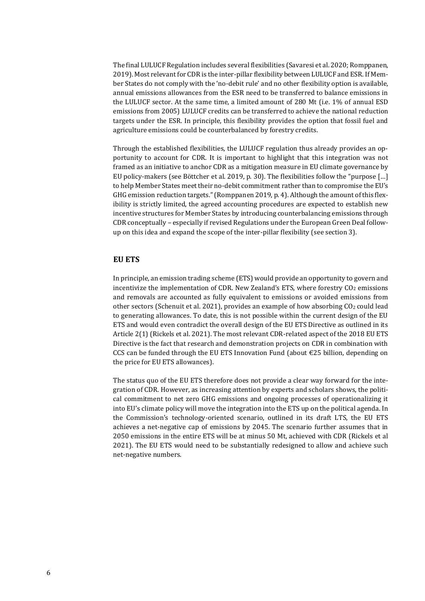The final LULUCF Regulation includes several flexibilities (Savaresi et al. 2020; Romppanen, 2019). Most relevant for CDR is the inter-pillar flexibility between LULUCF and ESR. If Member States do not comply with the 'no-debit rule' and no other flexibility option is available, annual emissions allowances from the ESR need to be transferred to balance emissions in the LULUCF sector. At the same time, a limited amount of 280 Mt (i.e. 1% of annual ESD emissions from 2005) LULUCF credits can be transferred to achieve the national reduction targets under the ESR. In principle, this flexibility provides the option that fossil fuel and agriculture emissions could be counterbalanced by forestry credits.

Through the established flexibilities, the LULUCF regulation thus already provides an opportunity to account for CDR. It is important to highlight that this integration was not framed as an initiative to anchor CDR as a mitigation measure in EU climate governance by EU policy-makers (see Böttcher et al. 2019, p. 30). The flexibilities follow the "purpose […] to help Member States meet their no-debit commitment rather than to compromise the EU's GHG emission reduction targets." (Romppanen 2019, p. 4). Although the amount of this flexibility is strictly limited, the agreed accounting procedures are expected to establish new incentive structures for Member States by introducing counterbalancing emissions through CDR conceptually – especially if revised Regulations under the European Green Deal followup on this idea and expand the scope of the inter-pillar flexibility (see section 3).

#### **EU ETS**

In principle, an emission trading scheme (ETS) would provide an opportunity to govern and incentivize the implementation of CDR. New Zealand's ETS, where forestry  $CO<sub>2</sub>$  emissions and removals are accounted as fully equivalent to emissions or avoided emissions from other sectors (Schenuit et al. 2021), provides an example of how absorbing  $CO<sub>2</sub>$  could lead to generating allowances. To date, this is not possible within the current design of the EU ETS and would even contradict the overall design of the EU ETS Directive as outlined in its Article 2(1) (Rickels et al. 2021). The most relevant CDR-related aspect of the 2018 EU ETS Directive is the fact that research and demonstration projects on CDR in combination with CCS can be funded through the EU ETS Innovation Fund (about  $E25$  billion, depending on the price for EU ETS allowances).

The status quo of the EU ETS therefore does not provide a clear way forward for the integration of CDR. However, as increasing attention by experts and scholars shows, the political commitment to net zero GHG emissions and ongoing processes of operationalizing it into EU's climate policy will move the integration into the ETS up on the political agenda. In the Commission's technology-oriented scenario, outlined in its draft LTS, the EU ETS achieves a net-negative cap of emissions by 2045. The scenario further assumes that in 2050 emissions in the entire ETS will be at minus 50 Mt, achieved with CDR (Rickels et al 2021). The EU ETS would need to be substantially redesigned to allow and achieve such net-negative numbers.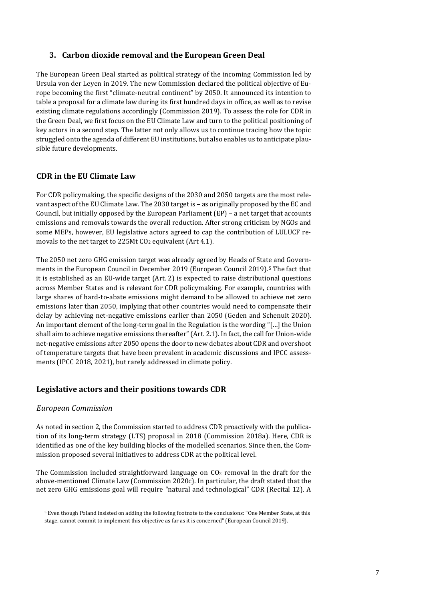# **3. Carbon dioxide removal and the European Green Deal**

The European Green Deal started as political strategy of the incoming Commission led by Ursula von der Leyen in 2019. The new Commission declared the political objective of Europe becoming the first "climate-neutral continent" by 2050. It announced its intention to table a proposal for a climate law during its first hundred days in office, as well as to revise existing climate regulations accordingly (Commission 2019). To assess the role for CDR in the Green Deal, we first focus on the EU Climate Law and turn to the political positioning of key actors in a second step. The latter not only allows us to continue tracing how the topic struggled onto the agenda of different EU institutions, but also enables us to anticipate plausible future developments.

## **CDR in the EU Climate Law**

For CDR policymaking, the specific designs of the 2030 and 2050 targets are the most relevant aspect of the EU Climate Law. The 2030 target is – as originally proposed by the EC and Council, but initially opposed by the European Parliament (EP) – a net target that accounts emissions and removals towards the overall reduction. After strong criticism by NGOs and some MEPs, however, EU legislative actors agreed to cap the contribution of LULUCF removals to the net target to 225Mt  $CO<sub>2</sub>$  equivalent (Art 4.1).

The 2050 net zero GHG emission target was already agreed by Heads of State and Governments in the European Council in December 2019 (European Council 2019).<sup>5</sup> The fact that it is established as an EU-wide target (Art. 2) is expected to raise distributional questions across Member States and is relevant for CDR policymaking. For example, countries with large shares of hard-to-abate emissions might demand to be allowed to achieve net zero emissions later than 2050, implying that other countries would need to compensate their delay by achieving net-negative emissions earlier than 2050 (Geden and Schenuit 2020). An important element of the long-term goal in the Regulation is the wording "[…] the Union shall aim to achieve negative emissions thereafter" (Art. 2.1). In fact, the call for Union-wide net-negative emissions after 2050 opens the door to new debates about CDR and overshoot of temperature targets that have been prevalent in academic discussions and IPCC assessments (IPCC 2018, 2021), but rarely addressed in climate policy.

#### **Legislative actors and their positions towards CDR**

#### *European Commission*

As noted in section 2, the Commission started to address CDR proactively with the publication of its long-term strategy (LTS) proposal in 2018 (Commission 2018a). Here, CDR is identified as one of the key building blocks of the modelled scenarios. Since then, the Commission proposed several initiatives to address CDR at the political level.

The Commission included straightforward language on  $CO<sub>2</sub>$  removal in the draft for the above-mentioned Climate Law (Commission 2020c). In particular, the draft stated that the net zero GHG emissions goal will require "natural and technological" CDR (Recital 12). A

<sup>5</sup> Even though Poland insisted on adding the following footnote to the conclusions: "One Member State, at this stage, cannot commit to implement this objective as far as it is concerned" (European Council 2019).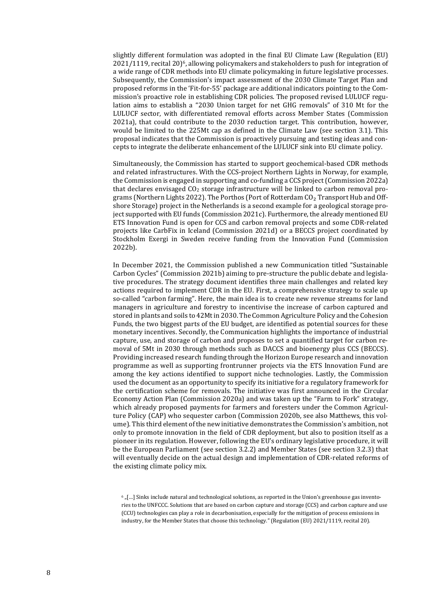slightly different formulation was adopted in the final EU Climate Law (Regulation (EU) 2021/1119, recital 20) <sup>6</sup>, allowing policymakers and stakeholders to push for integration of a wide range of CDR methods into EU climate policymaking in future legislative processes. Subsequently, the Commission's impact assessment of the 2030 Climate Target Plan and proposed reforms in the 'Fit-for-55' package are additional indicators pointing to the Commission's proactive role in establishing CDR policies. The proposed revised LULUCF regulation aims to establish a "2030 Union target for net GHG removals" of 310 Mt for the LULUCF sector, with differentiated removal efforts across Member States (Commission 2021a), that could contribute to the 2030 reduction target. This contribution, however, would be limited to the 225Mt cap as defined in the Climate Law (see section 3.1). This proposal indicates that the Commission is proactively pursuing and testing ideas and concepts to integrate the deliberate enhancement of the LULUCF sink into EU climate policy.

Simultaneously, the Commission has started to support geochemical-based CDR methods and related infrastructures. With the CCS-project Northern Lights in Norway, for example, the Commission is engaged in supporting and co-funding a CCS project (Commission 2022a) that declares envisaged CO<sup>2</sup> storage infrastructure will be linked to carbon removal programs (Northern Lights 2022). The Porthos (Port of Rotterdam  $CO<sub>2</sub>$  Transport Hub and Offshore Storage) project in the Netherlands is a second example for a geological storage project supported with EU funds (Commission 2021c). Furthermore, the already mentioned EU ETS Innovation Fund is open for CCS and carbon removal projects and some CDR-related projects like CarbFix in Iceland (Commission 2021d) or a BECCS project coordinated by Stockholm Exergi in Sweden receive funding from the Innovation Fund (Commission 2022b).

In December 2021, the Commission published a new Communication titled "Sustainable Carbon Cycles" (Commission 2021b) aiming to pre-structure the public debate and legislative procedures. The strategy document identifies three main challenges and related key actions required to implement CDR in the EU. First, a comprehensive strategy to scale up so-called "carbon farming". Here, the main idea is to create new revenue streams for land managers in agriculture and forestry to incentivise the increase of carbon captured and stored in plants and soils to 42Mt in 2030. The Common Agriculture Policy and the Cohesion Funds, the two biggest parts of the EU budget, are identified as potential sources for these monetary incentives. Secondly, the Communication highlights the importance of industrial capture, use, and storage of carbon and proposes to set a quantified target for carbon removal of 5Mt in 2030 through methods such as DACCS and bioenergy plus CCS (BECCS). Providing increased research funding through the Horizon Europe research and innovation programme as well as supporting frontrunner projects via the ETS Innovation Fund are among the key actions identified to support niche technologies. Lastly, the Commission used the document as an opportunity to specify its initiative for a regulatory framework for the certification scheme for removals. The initiative was first announced in the Circular Economy Action Plan (Commission 2020a) and was taken up the "Farm to Fork" strategy, which already proposed payments for farmers and foresters under the Common Agriculture Policy (CAP) who sequester carbon (Commission 2020b, see also Matthews, this volume). This third element of the new initiative demonstrates the Commission's ambition, not only to promote innovation in the field of CDR deployment, but also to position itself as a pioneer in its regulation. However, following the EU's ordinary legislative procedure, it will be the European Parliament (see section 3.2.2) and Member States (see section 3.2.3) that will eventually decide on the actual design and implementation of CDR-related reforms of the existing climate policy mix.

 $6$  [...] Sinks include natural and technological solutions, as reported in the Union's greenhouse gas inventories to the UNFCCC. Solutions that are based on carbon capture and storage (CCS) and carbon capture and use (CCU) technologies can play a role in decarbonisation, especially for the mitigation of process emissions in industry, for the Member States that choose this technology." (Regulation (EU) 2021/1119, recital 20).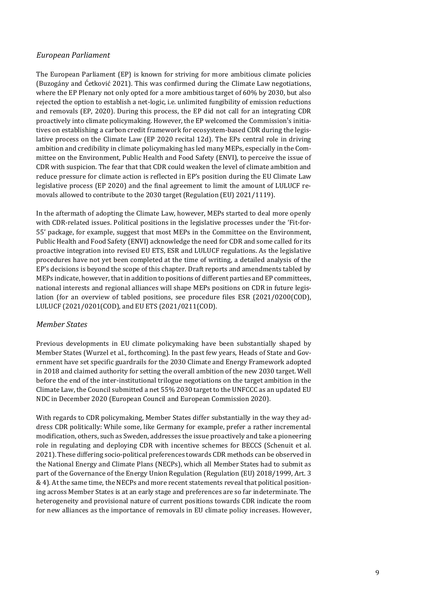### *European Parliament*

The European Parliament (EP) is known for striving for more ambitious climate policies (Buzogány and Ćetković 2021). This was confirmed during the Climate Law negotiations, where the EP Plenary not only opted for a more ambitious target of 60% by 2030, but also rejected the option to establish a net-logic, i.e. unlimited fungibility of emission reductions and removals (EP, 2020). During this process, the EP did not call for an integrating CDR proactively into climate policymaking. However, the EP welcomed the Commission's initiatives on establishing a carbon credit framework for ecosystem-based CDR during the legislative process on the Climate Law (EP 2020 recital 12d). The EPs central role in driving ambition and credibility in climate policymaking has led many MEPs, especially in the Committee on the Environment, Public Health and Food Safety (ENVI), to perceive the issue of CDR with suspicion. The fear that that CDR could weaken the level of climate ambition and reduce pressure for climate action is reflected in EP's position during the EU Climate Law legislative process (EP 2020) and the final agreement to limit the amount of LULUCF removals allowed to contribute to the 2030 target (Regulation (EU) 2021/1119).

In the aftermath of adopting the Climate Law, however, MEPs started to deal more openly with CDR-related issues. Political positions in the legislative processes under the 'Fit-for-55' package, for example, suggest that most MEPs in the Committee on the Environment, Public Health and Food Safety (ENVI) acknowledge the need for CDR and some called for its proactive integration into revised EU ETS, ESR and LULUCF regulations. As the legislative procedures have not yet been completed at the time of writing, a detailed analysis of the EP's decisions is beyond the scope of this chapter. Draft reports and amendments tabled by MEPs indicate, however, that in addition to positions of different parties and EP committees, national interests and regional alliances will shape MEPs positions on CDR in future legislation (for an overview of tabled positions, see procedure files ESR (2021/0200(COD), LULUCF (2021/0201(COD), and EU ETS (2021/0211(COD).

# *Member States*

Previous developments in EU climate policymaking have been substantially shaped by Member States (Wurzel et al., forthcoming). In the past few years, Heads of State and Government have set specific guardrails for the 2030 Climate and Energy Framework adopted in 2018 and claimed authority for setting the overall ambition of the new 2030 target. Well before the end of the inter-institutional trilogue negotiations on the target ambition in the Climate Law, the Council submitted a net 55% 2030 target to the UNFCCC as an updated EU NDC in December 2020 (European Council and European Commission 2020).

With regards to CDR policymaking, Member States differ substantially in the way they address CDR politically: While some, like Germany for example, prefer a rather incremental modification, others, such as Sweden, addresses the issue proactively and take a pioneering role in regulating and deploying CDR with incentive schemes for BECCS (Schenuit et al. 2021). These differing socio-political preferences towards CDR methods can be observed in the National Energy and Climate Plans (NECPs), which all Member States had to submit as part of the Governance of the Energy Union Regulation (Regulation (EU) 2018/1999, Art. 3 & 4). At the same time, the NECPs and more recent statements reveal that political positioning across Member States is at an early stage and preferences are so far indeterminate. The heterogeneity and provisional nature of current positions towards CDR indicate the room for new alliances as the importance of removals in EU climate policy increases. However,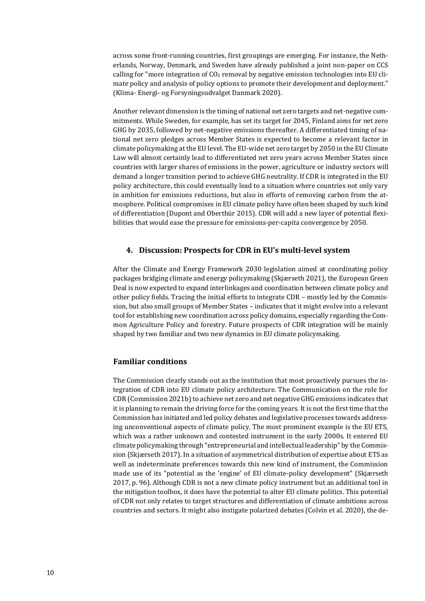across some front-running countries, first groupings are emerging. For instance, the Netherlands, Norway, Denmark, and Sweden have already published a joint non-paper on CCS calling for "more integration of  $CO<sub>2</sub>$  removal by negative emission technologies into EU climate policy and analysis of policy options to promote their development and deployment." (Klima- Energi- og Forsyningsudvalget Danmark 2020).

Another relevant dimension is the timing of national net zero targets and net-negative commitments. While Sweden, for example, has set its target for 2045, Finland aims for net zero GHG by 2035, followed by net-negative emissions thereafter. A differentiated timing of national net zero pledges across Member States is expected to become a relevant factor in climate policymaking at the EU level. The EU-wide net zero target by 2050 in the EU Climate Law will almost certainly lead to differentiated net zero years across Member States since countries with larger shares of emissions in the power, agriculture or industry sectors will demand a longer transition period to achieve GHG neutrality. If CDR is integrated in the EU policy architecture, this could eventually lead to a situation where countries not only vary in ambition for emissions reductions, but also in efforts of removing carbon from the atmosphere. Political compromises in EU climate policy have often been shaped by such kind of differentiation (Dupont and Oberthür 2015). CDR will add a new layer of potential flexibilities that would ease the pressure for emissions-per-capita convergence by 2050.

#### **4. Discussion: Prospects for CDR in EU's multi-level system**

After the Climate and Energy Framework 2030 legislation aimed at coordinating policy packages bridging climate and energy policymaking (Skjærseth 2021), the European Green Deal is now expected to expand interlinkages and coordination between climate policy and other policy fields. Tracing the initial efforts to integrate CDR – mostly led by the Commission, but also small groups of Member States – indicates that it might evolve into a relevant tool for establishing new coordination across policy domains, especially regarding the Common Agriculture Policy and forestry. Future prospects of CDR integration will be mainly shaped by two familiar and two new dynamics in EU climate policymaking.

#### **Familiar conditions**

The Commission clearly stands out as the institution that most proactively pursues the integration of CDR into EU climate policy architecture. The Communication on the role for CDR (Commission 2021b) to achieve net zero and net negative GHG emissions indicates that it is planning to remain the driving force for the coming years. It is not the first time that the Commission has initiated and led policy debates and legislative processes towards addressing unconventional aspects of climate policy. The most prominent example is the EU ETS, which was a rather unknown and contested instrument in the early 2000s. It entered EU climate policymaking through "entrepreneurial and intellectual leadership" by the Commission (Skjærseth 2017). In a situation of asymmetrical distribution of expertise about ETS as well as indeterminate preferences towards this new kind of instrument, the Commission made use of its "potential as the 'engine' of EU climate-policy development" (Skjærseth 2017, p. 96). Although CDR is not a new climate policy instrument but an additional tool in the mitigation toolbox, it does have the potential to alter EU climate politics. This potential of CDR not only relates to target structures and differentiation of climate ambitions across countries and sectors. It might also instigate polarized debates (Colvin et al. 2020), the de-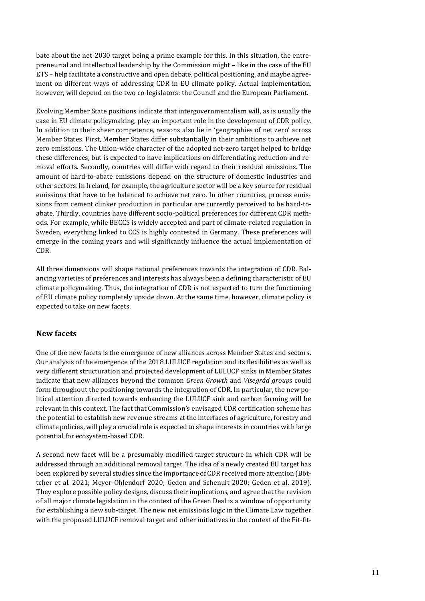bate about the net-2030 target being a prime example for this. In this situation, the entrepreneurial and intellectual leadership by the Commission might – like in the case of the EU ETS – help facilitate a constructive and open debate, political positioning, and maybe agreement on different ways of addressing CDR in EU climate policy. Actual implementation, however, will depend on the two co-legislators: the Council and the European Parliament.

Evolving Member State positions indicate that intergovernmentalism will, as is usually the case in EU climate policymaking, play an important role in the development of CDR policy. In addition to their sheer competence, reasons also lie in 'geographies of net zero' across Member States. First, Member States differ substantially in their ambitions to achieve net zero emissions. The Union-wide character of the adopted net-zero target helped to bridge these differences, but is expected to have implications on differentiating reduction and removal efforts. Secondly, countries will differ with regard to their residual emissions. The amount of hard-to-abate emissions depend on the structure of domestic industries and other sectors. In Ireland, for example, the agriculture sector will be a key source for residual emissions that have to be balanced to achieve net zero. In other countries, process emissions from cement clinker production in particular are currently perceived to be hard-toabate. Thirdly, countries have different socio-political preferences for different CDR methods. For example, while BECCS is widely accepted and part of climate-related regulation in Sweden, everything linked to CCS is highly contested in Germany. These preferences will emerge in the coming years and will significantly influence the actual implementation of CDR.

All three dimensions will shape national preferences towards the integration of CDR. Balancing varieties of preferences and interests has always been a defining characteristic of EU climate policymaking. Thus, the integration of CDR is not expected to turn the functioning of EU climate policy completely upside down. At the same time, however, climate policy is expected to take on new facets.

# **New facets**

One of the new facets is the emergence of new alliances across Member States and sectors. Our analysis of the emergence of the 2018 LULUCF regulation and its flexibilities as well as very different structuration and projected development of LULUCF sinks in Member States indicate that new alliances beyond the common *Green Growth* and *Visegrád group*s could form throughout the positioning towards the integration of CDR. In particular, the new political attention directed towards enhancing the LULUCF sink and carbon farming will be relevant in this context. The fact that Commission's envisaged CDR certification scheme has the potential to establish new revenue streams at the interfaces of agriculture, forestry and climate policies, will play a crucial role is expected to shape interests in countries with large potential for ecosystem-based CDR.

A second new facet will be a presumably modified target structure in which CDR will be addressed through an additional removal target. The idea of a newly created EU target has been explored by several studies since the importance of CDR received more attention (Böttcher et al. 2021; Meyer-Ohlendorf 2020; Geden and Schenuit 2020; Geden et al. 2019). They explore possible policy designs, discuss their implications, and agree that the revision of all major climate legislation in the context of the Green Deal is a window of opportunity for establishing a new sub-target. The new net emissions logic in the Climate Law together with the proposed LULUCF removal target and other initiatives in the context of the Fit-fit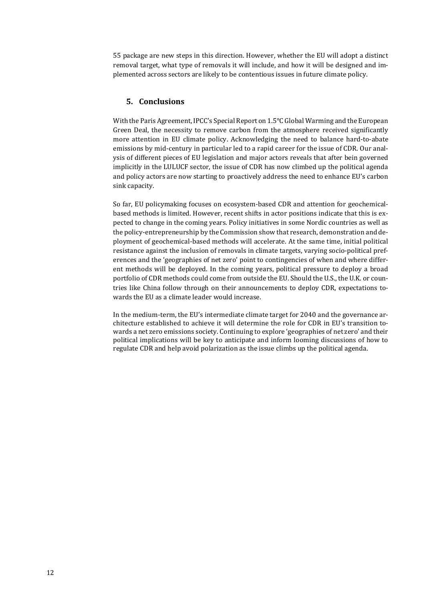55 package are new steps in this direction. However, whether the EU will adopt a distinct removal target, what type of removals it will include, and how it will be designed and implemented across sectors are likely to be contentious issues in future climate policy.

# **5. Conclusions**

With the Paris Agreement, IPCC's Special Report on 1.5°C Global Warming and the European Green Deal, the necessity to remove carbon from the atmosphere received significantly more attention in EU climate policy. Acknowledging the need to balance hard-to-abate emissions by mid-century in particular led to a rapid career for the issue of CDR. Our analysis of different pieces of EU legislation and major actors reveals that after bein governed implicitly in the LULUCF sector, the issue of CDR has now climbed up the political agenda and policy actors are now starting to proactively address the need to enhance EU's carbon sink capacity.

So far, EU policymaking focuses on ecosystem-based CDR and attention for geochemicalbased methods is limited. However, recent shifts in actor positions indicate that this is expected to change in the coming years. Policy initiatives in some Nordic countries as well as the policy-entrepreneurship by the Commission show that research, demonstration and deployment of geochemical-based methods will accelerate. At the same time, initial political resistance against the inclusion of removals in climate targets, varying socio-political preferences and the 'geographies of net zero' point to contingencies of when and where different methods will be deployed. In the coming years, political pressure to deploy a broad portfolio of CDR methods could come from outside the EU. Should the U.S., the U.K. or countries like China follow through on their announcements to deploy CDR, expectations towards the EU as a climate leader would increase.

In the medium-term, the EU's intermediate climate target for 2040 and the governance architecture established to achieve it will determine the role for CDR in EU's transition towards a net zero emissions society. Continuing to explore 'geographies of net zero' and their political implications will be key to anticipate and inform looming discussions of how to regulate CDR and help avoid polarization as the issue climbs up the political agenda.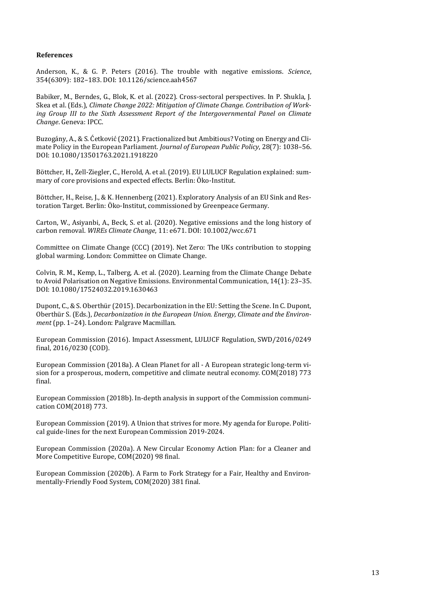#### **References**

Anderson, K., & G. P. Peters (2016). The trouble with negative emissions. *Science*, 354(6309): 182–183. DOI: 10.1126/science.aah4567

Babiker, M., Berndes, G., Blok, K. et al. (2022). Cross-sectoral perspectives. In P. Shukla, J. Skea et al. (Eds.), *Climate Change 2022: Mitigation of Climate Change. Contribution of Working Group III to the Sixth Assessment Report of the Intergovernmental Panel on Climate Change*. Geneva: IPCC.

Buzogány, A., & S. Ćetković (2021). Fractionalized but Ambitious? Voting on Energy and Climate Policy in the European Parliament*. Journal of European Public Policy*, 28(7): 1038–56. DOI: 10.1080/13501763.2021.1918220

Böttcher, H., Zell-Ziegler, C., Herold, A. et al. (2019). EU LULUCF Regulation explained: summary of core provisions and expected effects. Berlin: Öko-Institut.

Böttcher, H., Reise, J., & K. Hennenberg (2021). Exploratory Analysis of an EU Sink and Restoration Target. Berlin: Öko-Institut, commissioned by Greenpeace Germany.

Carton, W., Asiyanbi, A., Beck, S. et al. (2020). Negative emissions and the long history of carbon removal. *WIREs Climate Change*, 11: e671. DOI: 10.1002/wcc.671

Committee on Climate Change (CCC) (2019). Net Zero: The UKs contribution to stopping global warming. London: Committee on Climate Change.

Colvin, R. M., Kemp, L., Talberg, A. et al. (2020). Learning from the Climate Change Debate to Avoid Polarisation on Negative Emissions. Environmental Communication, 14(1): 23–35. DOI: 10.1080/17524032.2019.1630463

Dupont, C., & S. Oberthür (2015). Decarbonization in the EU: Setting the Scene. In C. Dupont, Oberthür S. (Eds.), *Decarbonization in the European Union. Energy, Climate and the Environment* (pp. 1–24). London: Palgrave Macmillan.

European Commission (2016). Impact Assessment, LULUCF Regulation, SWD/2016/0249 final, 2016/0230 (COD).

European Commission (2018a). A Clean Planet for all - A European strategic long-term vision for a prosperous, modern, competitive and climate neutral economy. COM(2018) 773 final.

European Commission (2018b). In-depth analysis in support of the Commission communication COM(2018) 773.

European Commission (2019). A Union that strives for more. My agenda for Europe. Political guide-lines for the next European Commission 2019-2024.

European Commission (2020a). A New Circular Economy Action Plan: for a Cleaner and More Competitive Europe, COM(2020) 98 final.

European Commission (2020b). A Farm to Fork Strategy for a Fair, Healthy and Environmentally-Friendly Food System, COM(2020) 381 final.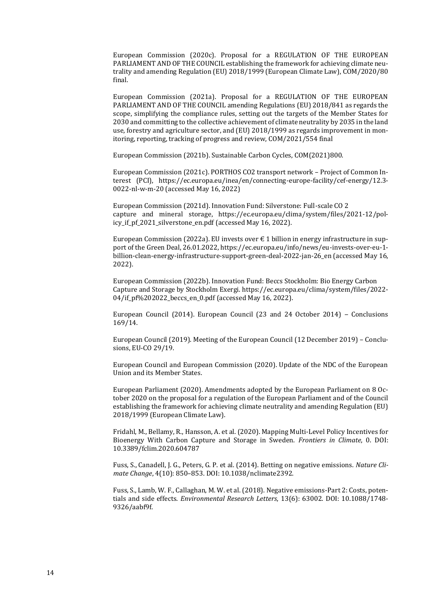European Commission (2020c). Proposal for a REGULATION OF THE EUROPEAN PARLIAMENT AND OF THE COUNCIL establishing the framework for achieving climate neutrality and amending Regulation (EU) 2018/1999 (European Climate Law), COM/2020/80 final.

European Commission (2021a). Proposal for a REGULATION OF THE EUROPEAN PARLIAMENT AND OF THE COUNCIL amending Regulations (EU) 2018/841 as regards the scope, simplifying the compliance rules, setting out the targets of the Member States for 2030 and committing to the collective achievement of climate neutrality by 2035 in the land use, forestry and agriculture sector, and (EU) 2018/1999 as regards improvement in monitoring, reporting, tracking of progress and review, COM/2021/554 final

European Commission (2021b). Sustainable Carbon Cycles, COM(2021)800.

European Commission (2021c). PORTHOS CO2 transport network – Project of Common Interest (PCI), https://ec.europa.eu/inea/en/connecting-europe-facility/cef-energy/12.3- 0022-nl-w-m-20 (accessed May 16, 2022)

European Commission (2021d). Innovation Fund: Silverstone: Full-scale CO 2 capture and mineral storage, https://ec.europa.eu/clima/system/files/2021-12/policy\_if\_pf\_2021\_silverstone\_en.pdf (accessed May 16, 2022).

European Commission (2022a). EU invests over  $\epsilon$  1 billion in energy infrastructure in support of the Green Deal, 26.01.2022, https://ec.europa.eu/info/news/eu-invests-over-eu-1 billion-clean-energy-infrastructure-support-green-deal-2022-jan-26\_en (accessed May 16, 2022).

European Commission (2022b). Innovation Fund: Beccs Stockholm: Bio Energy Carbon Capture and Storage by Stockholm Exergi. https://ec.europa.eu/clima/system/files/2022- 04/if\_pf%202022\_beccs\_en\_0.pdf (accessed May 16, 2022).

European Council (2014). European Council (23 and 24 October 2014) – Conclusions 169/14.

European Council (2019). Meeting of the European Council (12 December 2019) – Conclusions, EU-CO 29/19.

European Council and European Commission (2020). Update of the NDC of the European Union and its Member States.

European Parliament (2020). Amendments adopted by the European Parliament on 8 October 2020 on the proposal for a regulation of the European Parliament and of the Council establishing the framework for achieving climate neutrality and amending Regulation (EU) 2018/1999 (European Climate Law).

Fridahl, M., Bellamy, R., Hansson, A. et al. (2020). Mapping Multi-Level Policy Incentives for Bioenergy With Carbon Capture and Storage in Sweden. *Frontiers in Climate*, 0. DOI: 10.3389/fclim.2020.604787

Fuss, S., Canadell, J. G., Peters, G. P. et al. (2014). Betting on negative emissions. *Nature Climate Change*, 4(10): 850–853. DOI: 10.1038/nclimate2392.

Fuss, S., Lamb, W. F., Callaghan, M. W. et al. (2018). Negative emissions-Part 2: Costs, potentials and side effects. *Environmental Research Letters*, 13(6): 63002. DOI: 10.1088/1748- 9326/aabf9f.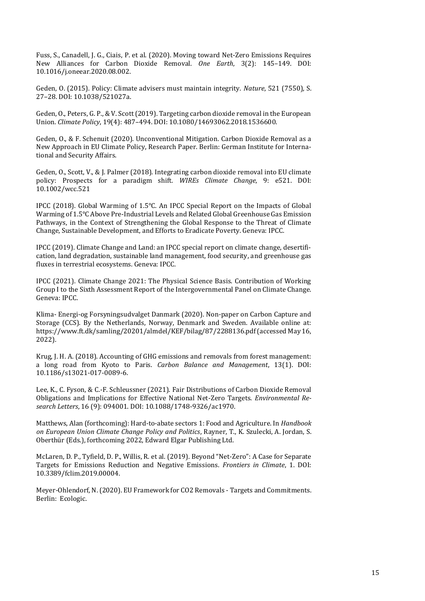Fuss, S., Canadell, J. G., Ciais, P. et al. (2020). Moving toward Net-Zero Emissions Requires New Alliances for Carbon Dioxide Removal. *One Earth*, 3(2): 145–149. DOI: 10.1016/j.oneear.2020.08.002.

Geden, O. (2015). Policy: Climate advisers must maintain integrity. *Nature*, 521 (7550), S. 27–28. DOI: 10.1038/521027a.

Geden, O., Peters, G. P., & V. Scott (2019). Targeting carbon dioxide removal in the European Union. *Climate Policy*, 19(4): 487–494. DOI: 10.1080/14693062.2018.1536600.

Geden, O., & F. Schenuit (2020). Unconventional Mitigation. Carbon Dioxide Removal as a New Approach in EU Climate Policy, Research Paper. Berlin: German Institute for International and Security Affairs.

Geden, O., Scott, V., & J. Palmer (2018). Integrating carbon dioxide removal into EU climate policy: Prospects for a paradigm shift. *WIREs Climate Change*, 9: e521. DOI: 10.1002/wcc.521

IPCC (2018). Global Warming of 1.5°C. An IPCC Special Report on the Impacts of Global Warming of 1.5°C Above Pre-Industrial Levels and Related Global Greenhouse Gas Emission Pathways, in the Context of Strengthening the Global Response to the Threat of Climate Change, Sustainable Development, and Efforts to Eradicate Poverty. Geneva: IPCC.

IPCC (2019). Climate Change and Land: an IPCC special report on climate change, desertification, land degradation, sustainable land management, food security, and greenhouse gas fluxes in terrestrial ecosystems. Geneva: IPCC.

IPCC (2021). Climate Change 2021: The Physical Science Basis. Contribution of Working Group I to the Sixth Assessment Report of the Intergovernmental Panel on Climate Change. Geneva: IPCC.

Klima- Energi-og Forsyningsudvalget Danmark (2020). Non-paper on Carbon Capture and Storage (CCS). By the Netherlands, Norway, Denmark and Sweden. Available online at: https://www.ft.dk/samling/20201/almdel/KEF/bilag/87/2288136.pdf (accessed May 16, 2022).

Krug, J. H. A. (2018). Accounting of GHG emissions and removals from forest management: a long road from Kyoto to Paris. *Carbon Balance and Management*, 13(1). DOI: 10.1186/s13021-017-0089-6.

Lee, K., C. Fyson, & C.-F. Schleussner (2021). Fair Distributions of Carbon Dioxide Removal Obligations and Implications for Effective National Net-Zero Targets. *Environmental Research Letters*, 16 (9): 094001. DOI: 10.1088/1748-9326/ac1970.

Matthews, Alan (forthcoming): Hard-to-abate sectors 1: Food and Agriculture. In *Handbook on European Union Climate Change Policy and Politics*, Rayner, T., K. Szulecki, A. Jordan, S. Oberthür (Eds.), forthcoming 2022, Edward Elgar Publishing Ltd.

McLaren, D. P., Tyfield, D. P., Willis, R. et al. (2019). Beyond "Net-Zero": A Case for Separate Targets for Emissions Reduction and Negative Emissions. *Frontiers in Climate*, 1. DOI: 10.3389/fclim.2019.00004.

Meyer-Ohlendorf, N. (2020). EU Framework for CO2 Removals - Targets and Commitments. Berlin: Ecologic.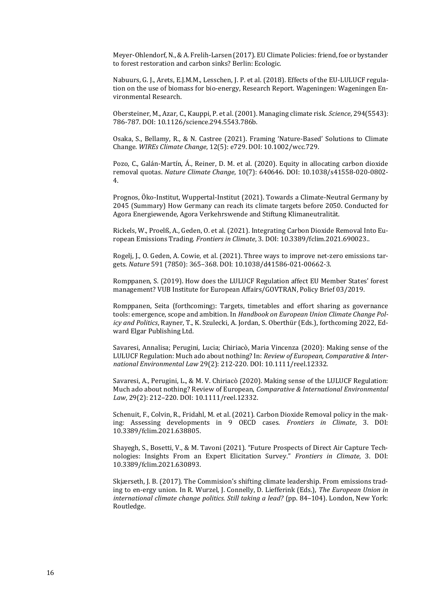Meyer-Ohlendorf, N., & A. Frelih-Larsen (2017). EU Climate Policies: friend, foe or bystander to forest restoration and carbon sinks? Berlin: Ecologic.

Nabuurs, G. J., Arets, E.J.M.M., Lesschen, J. P. et al. (2018). Effects of the EU-LULUCF regulation on the use of biomass for bio-energy, Research Report. Wageningen: Wageningen Environmental Research.

Obersteiner, M., Azar, C., Kauppi, P. et al. (2001). Managing climate risk. *Science*, 294(5543): 786-787. DOI: 10.1126/science.294.5543.786b.

Osaka, S., Bellamy, R., & N. Castree (2021). Framing 'Nature-Based' Solutions to Climate Change. *WIREs Climate Change*, 12(5): e729. DOI: 10.1002/wcc.729.

Pozo, C., Galán-Martín, Á., Reiner, D. M. et al. (2020). Equity in allocating carbon dioxide removal quotas. *Nature Climate Change*, 10(7): 640646. DOI: 10.1038/s41558-020-0802- 4.

Prognos, Öko-Institut, Wuppertal-Institut (2021). Towards a Climate-Neutral Germany by 2045 (Summary) How Germany can reach its climate targets before 2050. Conducted for Agora Energiewende, Agora Verkehrswende and Stiftung Klimaneutralität.

Rickels, W., Proelß, A., Geden, O. et al. (2021). Integrating Carbon Dioxide Removal Into European Emissions Trading. *Frontiers in Climate*, 3. DOI: 10.3389/fclim.2021.690023..

Rogelj, J., O. Geden, A. Cowie, et al. (2021). Three ways to improve net-zero emissions targets. *Nature* 591 (7850): 365–368. DOI: 10.1038/d41586-021-00662-3.

Romppanen, S. (2019). How does the LULUCF Regulation affect EU Member States' forest management? VUB Institute for European Affairs/GOVTRAN, Policy Brief 03/2019.

Romppanen, Seita (forthcoming): Targets, timetables and effort sharing as governance tools: emergence, scope and ambition. In *Handbook on European Union Climate Change Policy and Politics*, Rayner, T., K. Szulecki, A. Jordan, S. Oberthür (Eds.), forthcoming 2022, Edward Elgar Publishing Ltd.

Savaresi, Annalisa; Perugini, Lucia; Chiriacò, Maria Vincenza (2020): Making sense of the LULUCF Regulation: Much ado about nothing? In: *Review of European, Comparative & International Environmental Law* 29(2): 212-220. DOI: 10.1111/reel.12332.

Savaresi, A., Perugini, L., & M. V. Chiriacò (2020). Making sense of the LULUCF Regulation: Much ado about nothing? Review of European, *Comparative & International Environmental Law*, 29(2): 212–220. DOI: 10.1111/reel.12332.

Schenuit, F., Colvin, R., Fridahl, M. et al. (2021). Carbon Dioxide Removal policy in the making: Assessing developments in 9 OECD cases. *Frontiers in Climate*, 3. DOI: 10.3389/fclim.2021.638805.

Shayegh, S., Bosetti, V., & M. Tavoni (2021). "Future Prospects of Direct Air Capture Technologies: Insights From an Expert Elicitation Survey." *Frontiers in Climate*, 3. DOI: 10.3389/fclim.2021.630893.

Skjærseth, J. B. (2017). The Commision's shifting climate leadership. From emissions trading to en-ergy union. In R. Wurzel, J. Connelly, D. Liefferink (Eds.), *The European Union in international climate change politics. Still taking a lead?* (pp. 84–104). London, New York: Routledge.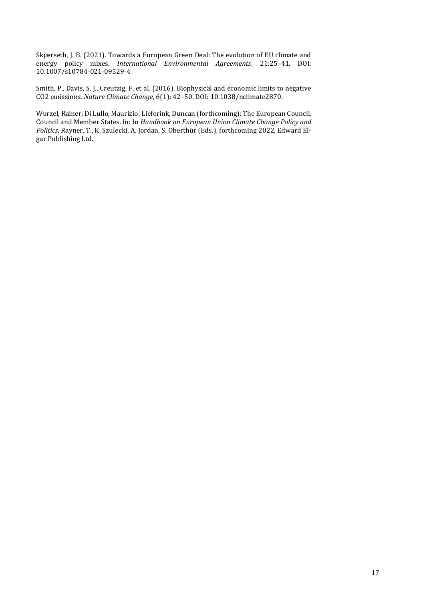Skjærseth, J. B. (2021). Towards a European Green Deal: The evolution of EU climate and energy policy mixes. *International Environmental Agreements*, 21:25–41. DOI: 10.1007/s10784-021-09529-4

Smith, P., Davis, S. J., Creutzig, F. et al. (2016). Biophysical and economic limits to negative CO2 emissions*. Nature Climate Change*, 6(1): 42–50. DOI: 10.1038/nclimate2870.

Wurzel, Rainer; Di Lullo, Maurizio; Lieferink, Duncan (forthcoming): The European Council, Council and Member States. In: In *Handbook on European Union Climate Change Policy and Politics*, Rayner, T., K. Szulecki, A. Jordan, S. Oberthür (Eds.), forthcoming 2022, Edward Elgar Publishing Ltd.